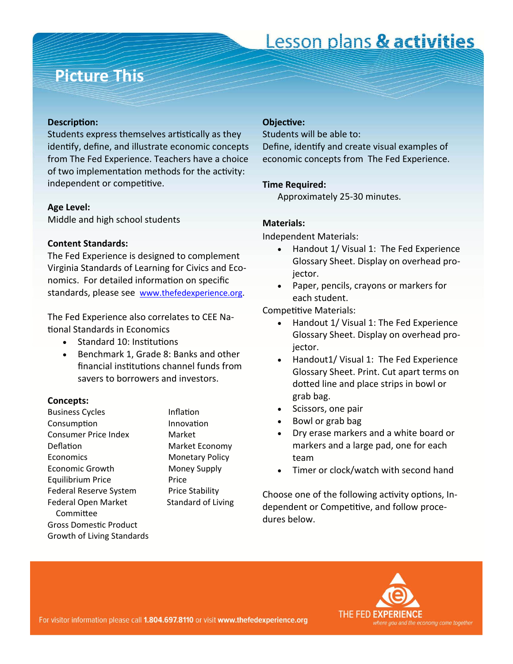# Lesson plans & activities

### **Picture This**

#### **DescripƟon:**

Students express themselves artistically as they identify, define, and illustrate economic concepts from The Fed Experience. Teachers have a choice of two implementation methods for the activity: independent or competitive.

#### **Age Level:**

Middle and high school students

#### **Content Standards:**

The Fed Experience is designed to complement Virginia Standards of Learning for Civics and Eco‐ nomics. For detailed information on specific standards, please see [www.thefedexperience.org](http://thefedexperience.org/education/TFE%20SOLs.pdf).

The Fed Experience also correlates to CEE Na‐ Ɵonal Standards in Economics

- Standard 10: Institutions
- Benchmark 1, Grade 8: Banks and other financial institutions channel funds from savers to borrowers and investors.

#### **Concepts:**

Business Cycles **Inflation** Consumption Innovation Consumer Price Index Market Deflation Market Economy Economics Monetary Policy Economic Growth Money Supply Equilibrium Price Price Federal Reserve System Price Stability Federal Open Market Standard of Living **Committee** Gross DomesƟc Product Growth of Living Standards

#### **ObjecƟve:**

Students will be able to:

Define, identify and create visual examples of economic concepts from The Fed Experience.

#### **Time Required:**

Approximately 25‐30 minutes.

#### **Materials:**

Independent Materials:

- Handout 1/ Visual 1: The Fed Experience Glossary Sheet. Display on overhead pro‐ jector.
- Paper, pencils, crayons or markers for each student.

Competitive Materials:

- Handout 1/ Visual 1: The Fed Experience Glossary Sheet. Display on overhead pro‐ jector.
- Handout1/ Visual 1: The Fed Experience Glossary Sheet. Print. Cut apart terms on dotted line and place strips in bowl or grab bag.
- Scissors, one pair
- Bowl or grab bag
- Dry erase markers and a white board or markers and a large pad, one for each team
- Timer or clock/watch with second hand

Choose one of the following activity options, Independent or Competitive, and follow procedures below.

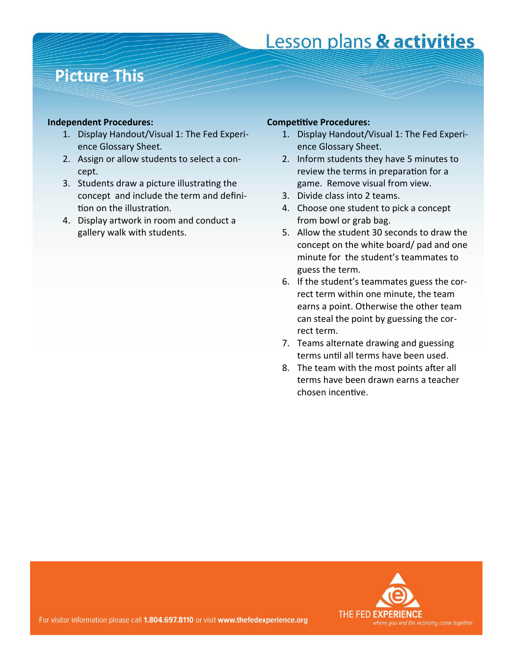# Lesson plans & activities

### **Picture This**

#### **Independent Procedures:**

- 1. Display Handout/Visual 1: The Fed Experi‐ ence Glossary Sheet.
- 2. Assign or allow students to select a con‐ cept.
- 3. Students draw a picture illustrating the concept and include the term and defini‐ tion on the illustration.
- 4. Display artwork in room and conduct a gallery walk with students.

#### **CompeƟƟve Procedures:**

- 1. Display Handout/Visual 1: The Fed Experi‐ ence Glossary Sheet.
- 2. Inform students they have 5 minutes to review the terms in preparation for a game. Remove visual from view.
- 3. Divide class into 2 teams.
- 4. Choose one student to pick a concept from bowl or grab bag.
- 5. Allow the student 30 seconds to draw the concept on the white board/ pad and one minute for the student's teammates to guess the term.
- 6. If the student's teammates guess the cor‐ rect term within one minute, the team earns a point. Otherwise the other team can steal the point by guessing the cor‐ rect term.
- 7. Teams alternate drawing and guessing terms until all terms have been used.
- 8. The team with the most points after all terms have been drawn earns a teacher chosen incenƟve.



For visitor information please call 1.804.697.8110 or visit www.thefedexperience.org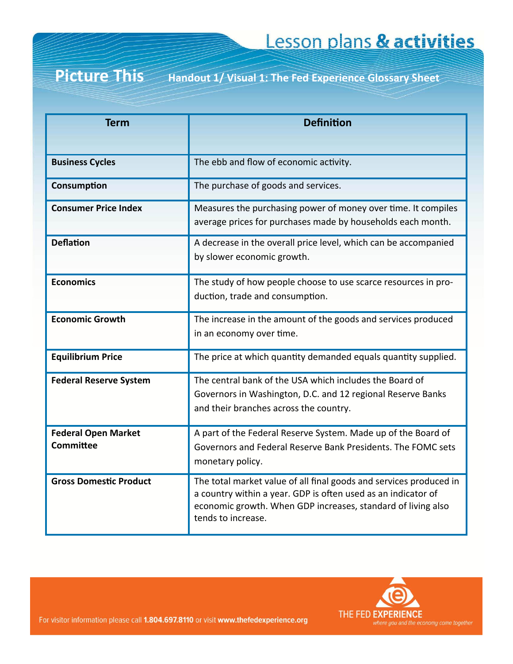#### Picture This **Picture This Handout 1/ Visual 1: The Fed Experience Glossary Sheet**

| <b>Term</b>                             | <b>Definition</b>                                                                                                                                                                                                         |
|-----------------------------------------|---------------------------------------------------------------------------------------------------------------------------------------------------------------------------------------------------------------------------|
| <b>Business Cycles</b>                  | The ebb and flow of economic activity.                                                                                                                                                                                    |
| Consumption                             | The purchase of goods and services.                                                                                                                                                                                       |
| <b>Consumer Price Index</b>             | Measures the purchasing power of money over time. It compiles<br>average prices for purchases made by households each month.                                                                                              |
| <b>Deflation</b>                        | A decrease in the overall price level, which can be accompanied<br>by slower economic growth.                                                                                                                             |
| <b>Economics</b>                        | The study of how people choose to use scarce resources in pro-<br>duction, trade and consumption.                                                                                                                         |
| <b>Economic Growth</b>                  | The increase in the amount of the goods and services produced<br>in an economy over time.                                                                                                                                 |
| <b>Equilibrium Price</b>                | The price at which quantity demanded equals quantity supplied.                                                                                                                                                            |
| <b>Federal Reserve System</b>           | The central bank of the USA which includes the Board of<br>Governors in Washington, D.C. and 12 regional Reserve Banks<br>and their branches across the country.                                                          |
| <b>Federal Open Market</b><br>Committee | A part of the Federal Reserve System. Made up of the Board of<br>Governors and Federal Reserve Bank Presidents. The FOMC sets<br>monetary policy.                                                                         |
| <b>Gross Domestic Product</b>           | The total market value of all final goods and services produced in<br>a country within a year. GDP is often used as an indicator of<br>economic growth. When GDP increases, standard of living also<br>tends to increase. |



For visitor information please call 1.804.697.8110 or visit www.thefedexperience.org